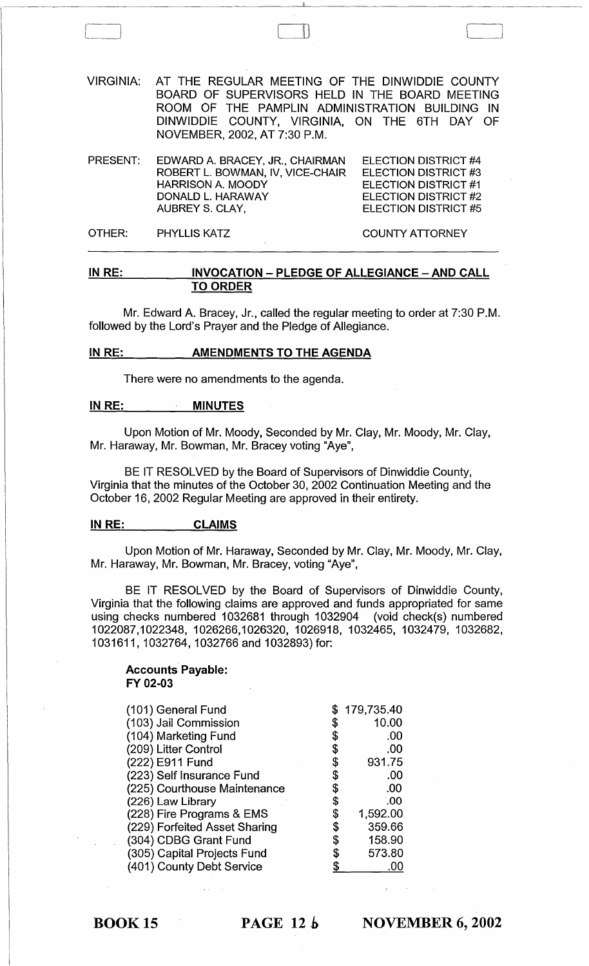| VIRGINIA: AT THE REGULAR MEETING OF THE DINWIDDIE COUNTY |
|----------------------------------------------------------|
| BOARD OF SUPERVISORS HELD IN THE BOARD MEETING           |
| ROOM OF THE PAMPLIN ADMINISTRATION BUILDING IN           |
| DINWIDDIE COUNTY, VIRGINIA, ON THE 6TH DAY OF            |
| NOVEMBER, 2002, AT 7:30 P.M.                             |
|                                                          |

 $\Box$ 

| PRESENT: | EDWARD A. BRACEY, JR., CHAIRMAN<br>ROBERT L. BOWMAN, IV, VICE-CHAIR<br><b>HARRISON A. MOODY</b> | ELECTION DISTRICT #4<br>ELECTION DISTRICT #3<br><b>ELECTION DISTRICT #1</b> |
|----------|-------------------------------------------------------------------------------------------------|-----------------------------------------------------------------------------|
|          | DONALD L. HARAWAY<br>AUBREY S. CLAY,                                                            | ELECTION DISTRICT #2<br><b>ELECTION DISTRICT #5</b>                         |
| OTHER: I | <b>PHYLLIS KATZ</b>                                                                             | <b>COUNTY ATTORNEY</b>                                                      |

# IN RE: INVOCATION - PLEDGE OF ALLEGIANCE - AND CALL TO ORDER

Mr. Edward A. Bracey, Jr., called the regular meeting to order at 7:30 P.M. followed by the Lord's Prayer and the Pledge of Allegiance.

#### IN RE: **AMENDMENTS TO THE AGENDA**

There were no amendments to the agenda.

# IN RE: MINUTES

Upon Motion of Mr. Moody, Seconded by Mr. Clay, Mr. Moody, Mr. Clay, Mr. Haraway, Mr. Bowman, Mr. Bracey voting "Aye",

BE IT RESOLVED by the Board of Supervisors of Dinwiddie County, Virginia that the minutes of the October 30, 2002 Continuation Meeting and the October 16, 2002 Regular Meeting are approved in their entirety.

# IN RE: CLAIMS

Upon Motion of Mr. Haraway, Seconded by Mr. Clay, Mr. Moody, Mr. Clay, Mr. Haraway, Mr. Bowman, Mr. Bracey, voting "Aye",

BE IT RESOLVED by the Board of Supervisors of Dinwiddie County, Virginia that the following claims are approved and funds appropriated for same using checks numbered 1032681 through 1032904 (void check(s) numbered 1022087,1022348, 1026266,1026320, 1026918, 1032465, 1032479, 1032682, 1031611, 1032764, 1032766 and 1032893) for:

## Accounts Payable: FY 02-03

| (101) General Fund            |    | 179,735.40 |
|-------------------------------|----|------------|
| (103) Jail Commission         |    | 10.00      |
| (104) Marketing Fund          |    | .00        |
| (209) Litter Control          |    | .00        |
| (222) E911 Fund               | \$ | 931.75     |
| (223) Self Insurance Fund     | S  | $.00 \,$   |
| (225) Courthouse Maintenance  |    | .00        |
| (226) Law Library             | \$ | .00        |
| (228) Fire Programs & EMS     | \$ | 1,592.00   |
| (229) Forfeited Asset Sharing | S  | 359.66     |
| (304) CDBG Grant Fund         | S  | 158.90     |
| (305) Capital Projects Fund   | \$ | 573.80     |
| (401) County Debt Service     |    |            |

 $\overline{BOOK 15}$  PAGE 12 $\overline{b}$ 

NOVEMBER 6, 2002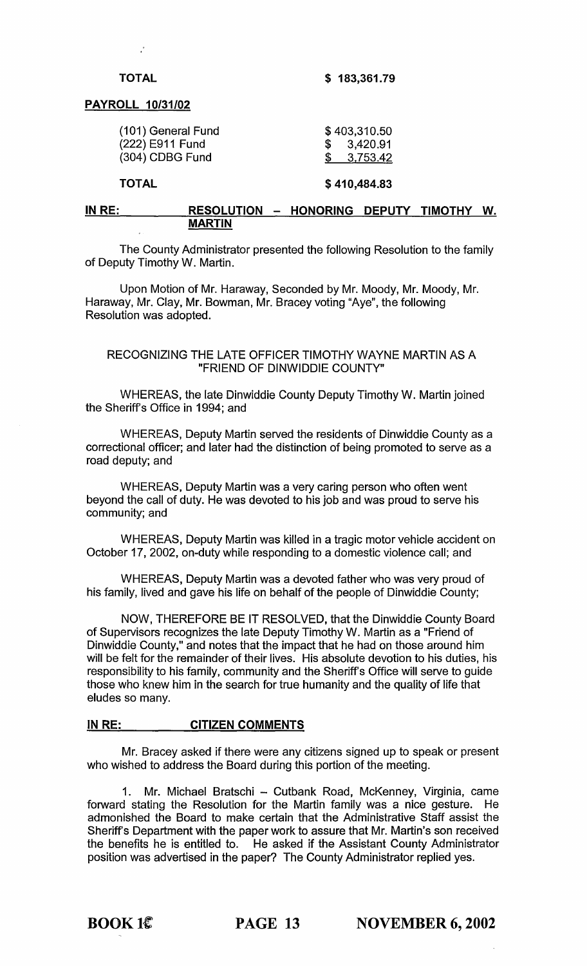# TOTAL

 $\sim$ 

\$ 183,361.79

## PAYROLL 10/31/02

| <b>TOTAL</b>                                             | \$410,484.83                             |
|----------------------------------------------------------|------------------------------------------|
| (101) General Fund<br>(222) E911 Fund<br>(304) CDBG Fund | \$403,310.50<br>\$3,420.91<br>\$3,753.42 |
|                                                          |                                          |

## IN RE: RESOLUTION - HONORING DEPUTY TIMOTHY W. MARTIN

The County Administrator presented the following Resolution to the family of Deputy Timothy W. Martin.

Upon Motion of Mr. Haraway, Seconded by Mr. Moody, Mr. Moody, Mr. Haraway, Mr. Clay, Mr. Bowman, Mr. Bracey voting "Aye", the following Resolution was adopted.

# RECOGNIZING THE LATE OFFICER TIMOTHY WAYNE MARTIN AS A "FRIEND OF DINWIDDIE COUNTY"

WHEREAS, the late Dinwiddie County Deputy Timothy W. Martin joined the Sheriff's Office in 1994; and

WHEREAS, Deputy Martin served the residents of Dinwiddie County as a correctional officer; and later had the distinction of being promoted to serve as a road deputy; and

WHEREAS, Deputy Martin was a very caring person who often went beyond the call of duty. He was devoted to his job and was proud to serve his community; and

WHEREAS, Deputy Martin was killed in a tragic motor vehicle accident on October 17, 2002, on-duty while responding to a domestic violence call; and

WHEREAS, Deputy Martin was a devoted father who was very proud of his family, lived and gave his life on behalf of the people of Dinwiddie County;

NOW, THEREFORE BE IT RESOLVED, that the Dinwiddie County Board of Supervisors recognizes the late Deputy Timothy W. Martin as a "Friend of Dinwiddie County," and notes that the impact that he had on those around him will be felt for the remainder of their lives. His absolute devotion to his duties, his responsibility to his family, community and the Sheriff's Office will serve to guide those who knew him in the search for true humanity and the quality of life that eludes so many.

# IN RE: CITIZEN COMMENTS

Mr. Bracey asked if there were any citizens signed up to speak or present who wished to address the Board during this portion of the meeting.

1. Mr. Michael Bratschi - Cutbank Road, McKenney, Virginia, came forward stating the Resolution for the Martin family was a nice gesture. He admonished the Board to make certain that the Administrative Staff assist the Sheriff's Department with the paper work to assure that Mr. Martin's son received the benefits he is entitled to. He asked if the Assistant County Administrator position was advertised in the paper? The County Administrator replied yes.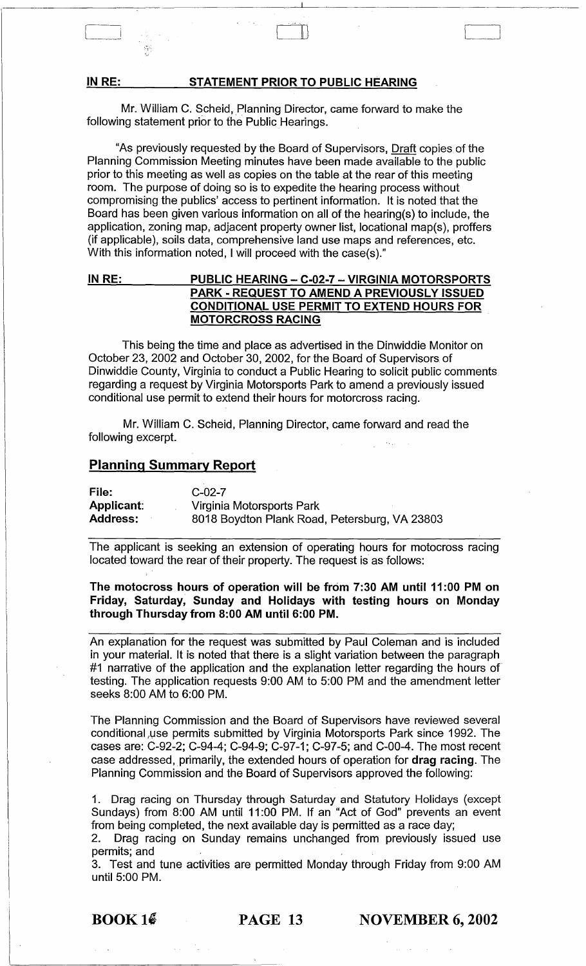#### IN RE: STATEMENT PRIOR TO PUBLIC HEARING

Mr. William C. Scheid, Planning Director, came forward to make the following statement prior to the Public Hearings.

C-I results to the control of the control of the control of the control of the control of the control of the control of the control of the control of the control of the control of the control of the control of the control

58

"As previously requested by the Board of Supervisors, Draft copies of the Planning Commission Meeting minutes have been made available to the public prior to this meeting as well as copies on the table at the rear of this meeting room. The purpose of doing so is to expedite the hearing process without compromising the publics' access to pertinent information. It is noted that the Board has been given various information on all of the hearing(s) to include, the application, zoning map, adjacent property owner list, locational map(s), proffers (if applicable), soils data, comprehensive land use maps and references, etc. With this information noted, I will proceed with the case(s)."

# IN RE: PUBLIC HEARING - C-02-7 - VIRGINIA MOTORSPORTS PARK - REQUEST TO AMEND A PREVIOUSLY ISSUED CONDITIONAL USE PERMIT TO EXTEND HOURS FOR MOTORCROSS RACING

This being the time and place as advertised in the Dinwiddie Monitor on October 23,2002 and October 30,2002, for the Board of Supervisors of Dinwiddie County, Virginia to conduct a Public Hearing to solicit public comments regarding a request by Virginia Motorsports Park to amend a previously issued conditional use permit to extend their hours for motorcross racing.

Mr. William C. Scheid, Planning Director, came forward and read the following excerpt.

# Planning Summary Report

| File:             | $C-02-7$                                      |
|-------------------|-----------------------------------------------|
| <b>Applicant:</b> | Virginia Motorsports Park                     |
| <b>Address:</b>   | 8018 Boydton Plank Road, Petersburg, VA 23803 |

The applicant is seeking an extension of operating hours for motocross racing located toward the rear of their property. The request is as follows:

The motocross hours of operation will be from 7:30 AM until 11 :00 PM on Friday, Saturday, Sunday and Holidays with testing hours on Monday through Thursday from 8:00 AM until 6:00 PM.

An explanation for the request was submitted by Paul Coleman and is included in your material. It is noted that there is a slight variation between the paragraph #1 narrative of the application and the explanation letter regarding the hours of testing. The application requests 9:00 AM to 5:00 PM and the amendment letter seeks 8:00 AM to 6:00 PM.

The Planning Commission and the Board of Supervisors have reviewed several conditional,use permits submitted by Virginia Motorsports Park since 1992. The cases are: C-92-2; C-94-4; C-94-9; C-97-1; C-97-5; and C-OO-4. The most recent case addressed, primarily, the extended hours of operation for drag racing. The Planning Commission and the Board of Supervisors approved the following:

1. Drag racing on Thursday through Saturday and Statutory Holidays (except Sundays) from 8:00 AM until 11:00 PM. If an "Act of God" prevents an event from being completed, the next available day is permitted as a race day;

2. Drag racing on Sunday remains unchanged from previously issued use permits; and

3. Test and tune activities are permitted Monday through Friday from 9:00 AM until 5:00 PM.

 $\text{BOOK } 1\text{\AA}$  PAGE 13 NOVEMBER 6, 2002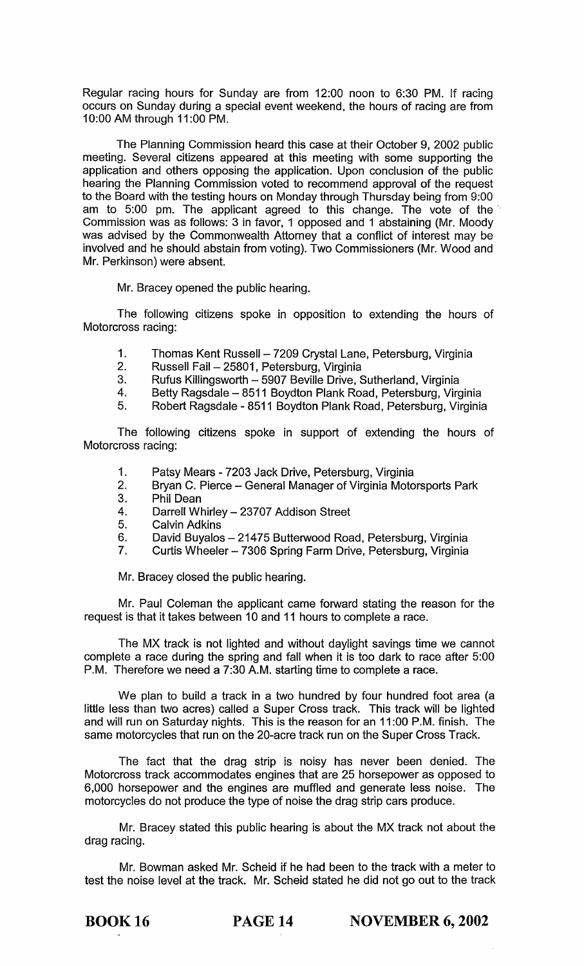Regular racing hours for Sunday are from 12:00 noon to 6:30 PM. If racing occurs on Sunday during a special event weekend, the hours of racing are from 10:00 AM through 11 :00 PM.

The Planning Commission heard this case at their October 9, 2002 public meeting. Several citizens appeared at this meeting with some supporting the application and others opposing the application. Upon conclusion of the public hearing the Planning Commission voted to recommend approval of the request to the Board with the testing hours on Monday through Thursday being from 9:00 am to 5:00 pm. The applicant agreed to this change. The vote of the' Commission was as follows: 3 in favor, 1 opposed and 1 abstaining (Mr. Moody was advised by the Commonwealth Attorney that a conflict of interest may be involved and he should abstain from voting). Two Commissioners (Mr. Wood and Mr. Perkinson) were absent.

Mr. Bracey opened the public hearing.

The following citizens spoke in opposition to extending the hours of Motorcross racing:

- 1. Thomas Kent Russell 7209 Crystal Lane, Petersburg, Virginia<br>2. Russell Fail 25801, Petersburg, Virginia
- 2. Russell Fail 25801, Petersburg, Virginia<br>3. Rufus Killingsworth 5907 Beville Drive.
- 3. Rufus Killingsworth 5907 Beville Drive, Sutherland, Virginia<br>4. Betty Ragsdale 8511 Bovdton Plank Road. Petersburg. Virg
- Betty Ragsdale 8511 Boydton Plank Road, Petersburg, Virginia
- 5. Robert Ragsdale 8511 Boydton Plank Road, Petersburg, Virginia

The following citizens spoke in support of extending the hours of Motorcross racing:

- 1. Patsy Mears 7203 Jack Drive, Petersburg, Virginia<br>2. Brvan C. Pierce General Manager of Virginia Moto
- 2. Bryan C. Pierce General Manager of Virginia Motorsports Park<br>3. Phil Dean
- 3. Phil Dean
- 4. Darrell Whirley 23707 Addison Street
- 5. Calvin Adkins
- 6. David Buyalos 21475 Butterwood Road, Petersburg, Virginia
- 7. Curtis Wheeler 7306 Spring Farm Drive, Petersburg, Virginia

Mr. Bracey closed the public hearing.

Mr. Paul Coleman the applicant came forward stating the reason for the request is that it takes between 10 and 11 hours to complete a race.

The MX track is not lighted and without daylight savings time we cannot complete a race during the spring and fall when it is too dark to race after 5:00 P.M. Therefore we need a 7:30 A.M. starting time to complete a race.

We plan to build a track in a two hundred by four hundred foot area (a little less than two acres) called a Super Cross track. This track will be lighted and will run on Saturday nights. This is the reason for an 11 :00 P.M. finish. The same motorcycles that run on the 20-acre track run on the Super Cross Track.

The fact that the drag strip is noisy has never been denied. The Motorcross track accommodates engines that are 25 horsepower as opposed to 6,000 horsepower and the engines are muffled and generate less noise. The motorcycles do not produce the type of noise the drag strip cars produce.

Mr. Bracey stated this public hearing is about the MX track not about the drag racing.

Mr. Bowman asked Mr. Scheid if he had been to the track with a meter to test the noise level at the track. Mr. Scheid stated he did not go out to the track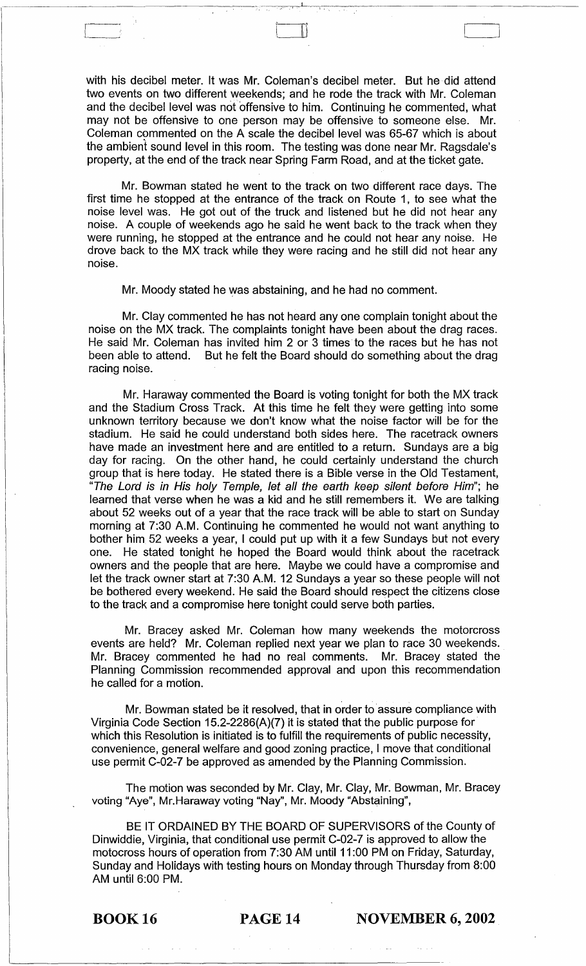with his decibel meter. It was Mr. Coleman's decibel meter. But he did attend two events on two different weekends; and he rode the track with Mr. Coleman and the decibel level was not offensive to him. Continuing he commented, what may not be offensive to one person may be offensive to someone else. Mr. Coleman commented on the A scale the decibel level was 65-67 which is about the ambient sound level in this room. The testing was done near Mr. Ragsdale's property, at the end of the track near Spring Farm Road, and at the ticket gate.

Mr. Bowman stated he went to the track on two different race days. The first time he stopped at the entrance of the track on Route 1, to see what the noise level was. He got out of the truck and listened but he did not hear any noise. A couple of weekends ago he said he went back to the track when they were running, he stopped at the entrance and he could not hear any noise. He drove back to the MX track while they were racing and he still did not hear any noise.

Mr. Moody stated he was abstaining, and he had no comment.

Mr. Clay commented he has not heard anyone complain tonight about the noise on the MX track. The complaints tonight have been about the drag races. He said Mr. Coleman has invited him 2 or 3 times to the races but he has not been able to attend. But he felt the Board should do something about the drag racing noise.

Mr. Haraway commented the Board is voting tonight for both the MX track and the Stadium Cross Track. At this time he felt they were getting into some unknown territory because we don't know what the noise factor will be for the stadium. He said he could understand both sides here. The racetrack owners have made an investment here and are entitled to a return. Sundays are a big day for racing. On the other hand, he could certainly understand the church group that is here today. He stated there is a Bible verse in the Old Testament, "The Lord is in His holy Temple, let all the earth keep silent before Him"; he learned that verse when he was a kid and he still remembers it. We are talking about 52 weeks out of a year that the race track will be able to start on Sunday morning at 7:30 A.M. Continuing he commented he would not want anything to bother him 52 weeks a year, I could put up with it a few Sundays but not every one. He stated tonight he hoped the Board would think about the racetrack owners and the people that are here. Maybe we could have a compromise and let the track owner start at 7:30 A.M. 12 Sundays a year so these people will not be bothered every weekend. He said the Board should respect the citizens close to the track and a compromise here tonight could serve both parties.

Mr. Bracey asked Mr. Coleman how many weekends the motorcross events are held? Mr. Coleman replied next year we plan to race 30 weekends. Mr. Bracey commented he had no real comments. Mr. Bracey stated the Planning Commission recommended approval and upon this recommendation he called for a motion.

Mr. Bowman stated be it resolved, that in order to assure compliance with Virginia Code Section 15.2-2286(A)(7) it is stated that the public purpose for which this Resolution is initiated is to fulfill the requirements of public necessity, convenience, general welfare and good zoning practice, I move that conditional use permit C-02-7 be approved as amended by the Planning Commission.

The motion was seconded by Mr. Clay, Mr. Clay, Mr. Bowman, Mr. Bracey voting "Aye", Mr.Haraway voting "Nay", Mr. Moody "Abstaining",

BE IT ORDAINED BY THE BOARD OF SUPERVISORS of the County of Dinwiddie, Virginia, that conditional use permit C-02-7 is approved to allow the motocross hours of operation from 7:30 AM until 11 :00 PM on Friday, Saturday, Sunday and Holidays with testing hours on Monday through Thursday from 8:00 AM until 6:00 PM.

BOOK 16 **PAGE 14 NOVEMBER 6, 2002**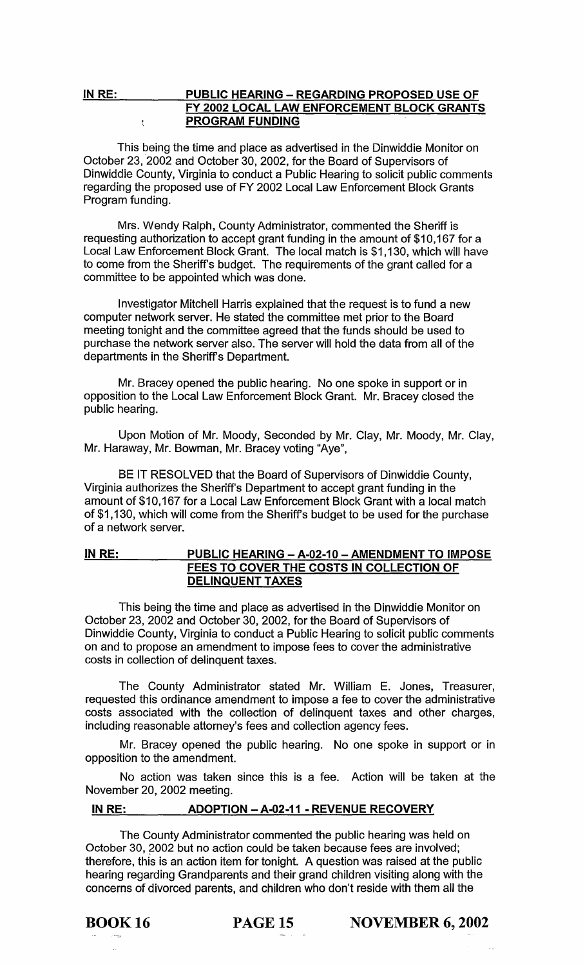#### IN RE: PUBLIC HEARING - REGARDING PROPOSED USE OF FY 2002 LOCAL LAW ENFORCEMENT BLOCK GRANTS PROGRAM FUNDING  $\mathbf{t}$

This being the time and place as advertised in the Dinwiddie Monitor on October 23, 2002 and October 30, 2002, for the Board of Supervisors of Dinwiddie County, Virginia to conduct a Public Hearing to solicit public comments regarding the proposed use of FY 2002 Local Law Enforcement Block Grants Program funding.

Mrs. Wendy Ralph, County Administrator, commented the Sheriff is requesting authorization to accept grant funding in the amount of \$10,167 for a Local Law Enforcement Block Grant. The local match is \$1,130, which will have to come from the Sheriff's budget. The requirements of the grant called for a committee to be appointed which was done.

Investigator Mitchell Harris explained that the request is to fund a new computer network server. He stated the committee met prior to the Board meeting tonight and the committee agreed that the funds should be used to purchase the network server also. The server will hold the data from all of the departments in the Sheriff's Department.

Mr. Bracey opened the public hearing. No one spoke in support or in opposition to the Local Law Enforcement Block Grant. Mr. Bracey closed the public hearing.

Upon Motion of Mr. Moody, Seconded by Mr. Clay, Mr. Moody, Mr. Clay, Mr. Haraway, Mr. Bowman, Mr. Bracey voting "Aye",

BE IT RESOLVED that the Board of Supervisors of Dinwiddie County, Virginia authorizes the Sheriff's Department to accept grant funding in the amount of \$10,167 for a Local Law Enforcement Block Grant with a local match of \$1,130, which will come from the Sheriff's budget to be used for the purchase of a network server.

# IN RE: PUBLIC HEARING - A-02-10 - AMENDMENT TO IMPOSE FEES TO COVER THE COSTS IN COLLECTION OF DELINQUENT TAXES

This being the time and place as advertised in the Dinwiddie Monitor on October 23, 2002 and October 30,2002, for the Board of Supervisors of Dinwiddie County, Virginia to conduct a Public Hearing to solicit public comments on and to propose an amendment to impose fees to cover the administrative costs in collection of delinquent taxes.

The County Administrator stated Mr. William E. Jones, Treasurer, requested this ordinance amendment to impose a fee to cover the administrative costs associated with the collection of delinquent taxes and other charges, including reasonable attorney's fees and collection agency fees.

Mr. Bracey opened the public hearing. No one spoke in support or in opposition to the amendment.

No action was taken since this is a fee. Action will be taken at the November 20, 2002 meeting.

# IN RE: ADOPTION - A·02·11 • REVENUE RECOVERY

The County Administrator commented the public hearing was held on October 30, 2002 but no action could be taken because fees are involved; therefore, this is an action item for tonight. A question was raised at the public hearing regarding Grandparents and their grand children visiting along with the concerns of divorced parents, and children who don't reside with them all the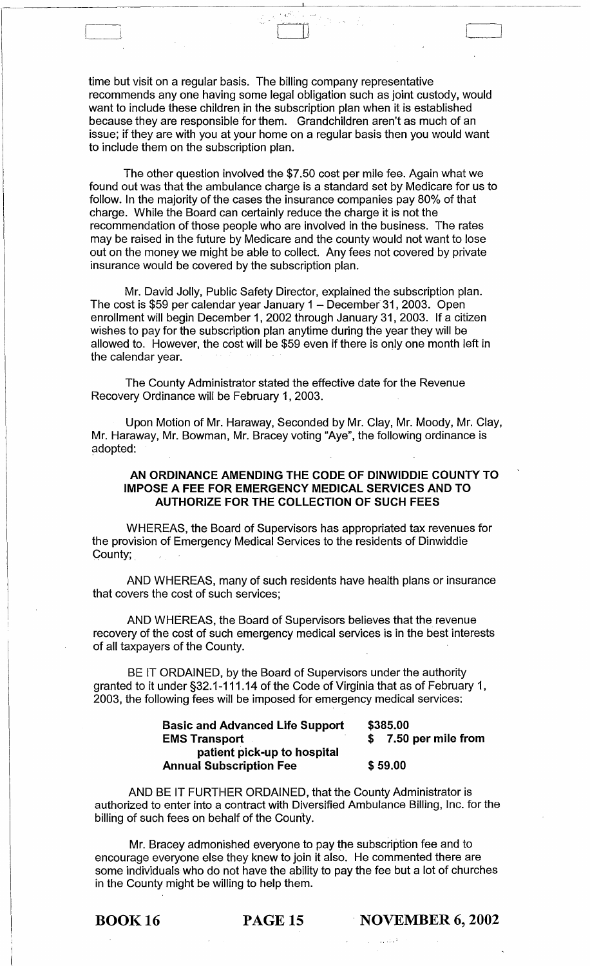time but visit on a regular basis. The billing company representative recommends anyone having some legal obligation such as joint custody, would want to include these children in the subscription plan when it is established because they are responsible for them. Grandchildren aren't as much of an issue; if they are with you at your home on a regular basis then you would want to include them on the subscription plan.

The other question involved the \$7.50 cost per mile fee. Again what we found out was that the ambulance charge is a standard set by Medicare for us to follow. In the majority of the cases the insurance companies pay 80% of that charge. While the Board can certainly reduce the charge it is not the recommendation of those people who are involved in the business. The rates may be raised in the future by Medicare and the county would not want to lose out on the money we might be able to collect. Any fees not covered by private insurance would be covered by the subscription plan.

Mr. David Jolly, Public Safety Director, explained the subscription plan. The cost is \$59 per calendar year January 1 - December 31, 2003. Open enrollment will begin December 1,2002 through January 31,2003. If a citizen wishes to pay for the subscription plan anytime during the year they will be allowed to. However, the cost will be \$59 even if there is only one month left in the calendar year.

The County Administrator stated the effective date for the Revenue Recovery Ordinance will be February 1,2003.

Upon Motion of Mr. Haraway, Seconded by Mr. Clay, Mr. Moody, Mr. Clay, Mr. Haraway, Mr. Bowman, Mr. Bracey voting "Aye", the following ordinance is adopted:

# AN ORDINANCE AMENDING THE CODE OF DINWIDDIE COUNTY TO IMPOSE A FEE FOR EMERGENCY MEDICAL SERVICES AND TO AUTHORIZE FOR THE COLLECTION OF SUCH FEES

WHEREAS, the Board of Supervisors has appropriated tax revenues for the provision of Emergency Medical Services to the residents of Dinwiddie Gounty; .

AND WHEREAS, many of such residents have health plans or insurance that covers the cost of such services;

AND WHEREAS, the Board of Supervisors believes that the revenue recovery of the cost of such emergency medical services is in the best interests of all taxpayers of the County.

BE IT ORDAINED, by the Board of Supervisors under the authority granted to it under §32.1-111.14 of the Code of Virginia that as of February 1, 2003, the following fees will be imposed for emergency medical services:

| <b>Basic and Advanced Life Support</b> | \$385.00           |  |
|----------------------------------------|--------------------|--|
| <b>EMS Transport</b>                   | 7.50 per mile from |  |
| patient pick-up to hospital            |                    |  |
| <b>Annual Subscription Fee</b>         | \$59,00            |  |

AND BE IT FURTHER ORDAINED, that the County Administrator is authorized to enter into a contract with Diversified Ambulance Billing, Inc. for the billing of such fees on behalf of the County.

Mr. Bracey admonished everyone to pay the subscription fee and to encourage everyone else they knew to join it also. He commented there are some individuals who do not have the ability to pay the fee but a lot of churches in the County might be willing to help them.

**BOOK 16 PAGE 15 NOVEMBER 6, 2002**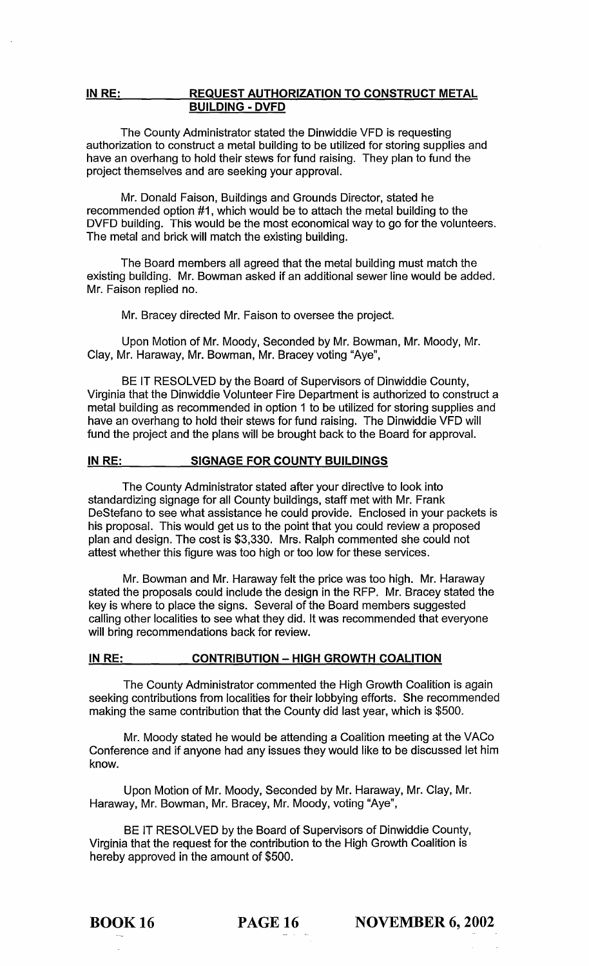# **IN RE: REQUEST AUTHORIZATION TO CONSTRUCT METAL BUILDING - DVFD**

The County Administrator stated the Dinwiddie VFD is requesting authorization to construct a metal building to be utilized for storing supplies and have an overhang to hold their stews for fund raising. They plan to fund the project themselves and are seeking your approval.

Mr. Donald Faison, Buildings and Grounds Director, stated he recommended option #1, which would be to attach the metal building to the DVFD building. This would be the most economical way to go for the volunteers. The metal and brick will match the existing building.

The Board members all agreed that the metal building must match the existing building. Mr. Bowman asked if an additional sewer line would be added. Mr. Faison replied no.

Mr. Bracey directed Mr. Faison to oversee the project.

Upon Motion of Mr. Moody, Seconded by Mr. Bowman, Mr. Moody, Mr. Clay, Mr. Haraway, Mr. Bowman, Mr. Bracey voting "Aye",

BE IT RESOLVED by the Board of Supervisors of Dinwiddie County, Virginia that the Dinwiddie Volunteer Fire Department is authorized to construct a metal building as recommended in option 1 to be utilized for storing supplies and have an overhang to hold their stews for fund raising. The Dinwiddie VFD will fund the project and the plans will be brought back to the Board for approval.

## **IN RE: SIGNAGE FOR COUNTY BUILDINGS**

The County Administrator stated after your directive to look into standardizing signage for all County buildings, staff met with Mr. Frank DeStefano to see what assistance he could provide. Enclosed in your packets is his proposal. This would get us to the point that you could review a proposed plan and design. The cost is \$3,330. Mrs. Ralph commented she could not attest whether this figure was too high or too low for these services.

Mr. Bowman and Mr. Haraway felt the price was too high. Mr. Haraway stated the proposals could include the design in the RFP. Mr. Bracey stated the key is where to place the signs. Several of the Board members suggested calling other localities to see what they did. It was recommended that everyone will bring recommendations back for review.

#### IN RE: CONTRIBUTION - HIGH GROWTH COALITION

The County Administrator commented the High Growth Coalition is again seeking contributions from localities for their lobbying efforts. She recommended making the same contribution that the County did last year, which is \$500.

Mr. Moody stated he would be attending a Coalition meeting at the VACo Conference and if anyone had any issues they would like to be discussed let him know.

Upon Motion of Mr. Moody, Seconded by Mr. Haraway, Mr. Clay, Mr. Haraway, Mr. Bowman, Mr. Bracey, Mr. Moody, voting "Aye",

BE IT RESOLVED by the Board of Supervisors of Dinwiddie County, Virginia that the request for the contribution to the High Growth Coalition is hereby approved in the amount of \$500.

**BOOK 16 PAGE 16 NOVEMBER 6, 2002**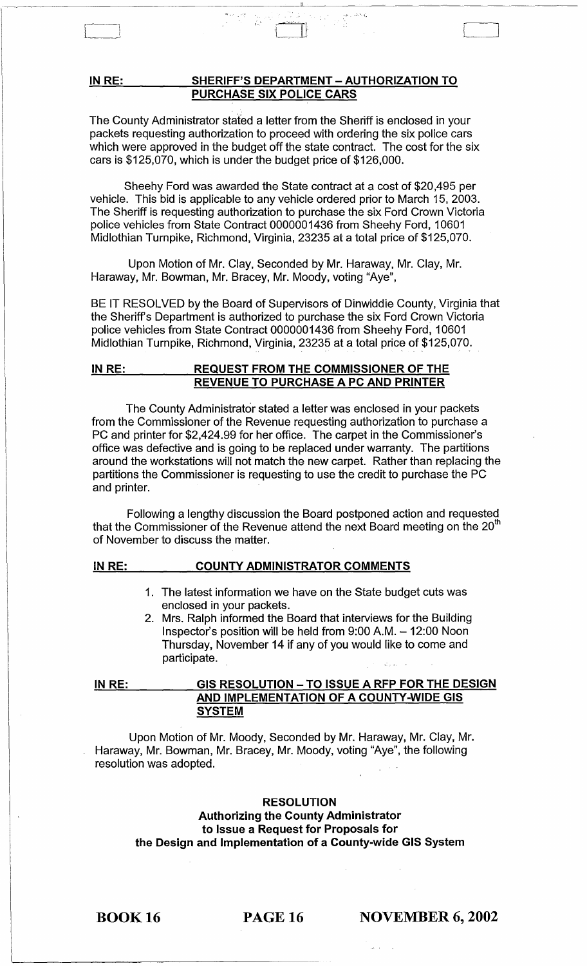# **IN RE: SHERIFF'S DEPARTMENT - AUTHORIZATION TO PURCHASE SIX POLICE CARS**

t- .:.

The County Administrator stated a letter from the Sheriff is enclosed in your packets requesting authorization to proceed with ordering the six police cars which were approved in the budget off the state contract. The cost for the six cars is \$125,070, which is under the budget price of \$126,000.

Sheehy Ford was awarded the State contract at a cost of \$20,495 per vehicle. This bid is applicable to any vehicle ordered prior to March 15, 2003. The Sheriff is requesting authorization to purchase the six Ford Crown Victoria police vehicles from State Contract 0000001436 from Sheehy Ford, 10601 Midlothian Turnpike, Richmond, Virginia, 23235 at a total price of \$125,070.

Upon Motion of Mr. Clay, Seconded by Mr. Haraway, Mr. Clay, Mr. Haraway, Mr. Bowman, Mr. Bracey, Mr. Moody, voting "Aye",

BE IT RESOLVED by the Board of Supervisors of Dinwiddie County, Virginia that the Sheriff's Department is authorized to purchase the six Ford Crown Victoria police vehicles from State Contract 0000001436 from Sheehy Ford, 10601 Midlothian Turnpike, Richmond, Virginia, 23235 at a total price of \$125,070.

## **INRE: REQUEST FROM THE COMMISSIONER OF THE REVENUE TO PURCHASE A PC AND PRINTER**

The County Administrator stated a letter was enclosed in your packets from the Commissioner of the Revenue requesting authorization to purchase a PC and printer for \$2,424.99 for her office. The carpet in the Commissioner's office was defective and is going to be replaced under warranty. The partitions around the workstations will not match the new carpet. Rather than replacing the partitions the Commissioner is requesting to use the credit to purchase the PC and printer.

Following a lengthy discussion the Board postponed action and requested that the Commissioner of the Revenue attend the next Board meeting on the  $20<sup>th</sup>$ of November to discuss the matter.

## **IN RE:**

1. The latest information we have on the State budget cuts was

**COUNTY ADMINISTRATOR COMMENTS** 

enclosed in your packets. 2. Mrs. Ralph informed the Board that interviews for the Building Inspector's position will be held from 9:00 A.M. - 12:00 Noon Thursday, November 14 if any of you would like to come and participate.

**IN RE: GIS RESOLUTION - TO ISSUE A RFP FOR THE DESIGN AND IMPLEMENTATION OF A COUNTY-WIDE GIS SYSTEM** 

Upon Motion of Mr. Moody, Seconded by Mr. Haraway, Mr. Clay, Mr. Haraway, Mr. Bowman, Mr. Bracey, Mr. Moody, voting "Aye", the following resolution was adopted.

# **RESOLUTION Authorizing the County Administrator to Issue a Request for Proposals for the Design and Implementation of a County-wide GIS System**

**BOOK 16 PAGE 16 NOVEMBER 6, 2002**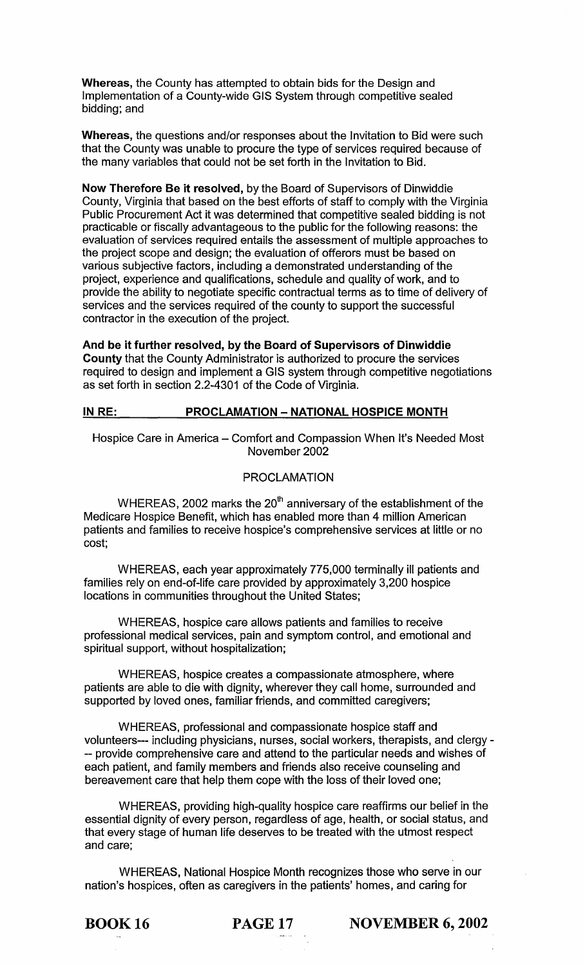Whereas, the County has attempted to obtain bids for the Design and Implementation of a County-wide GIS System through competitive sealed bidding; and

Whereas, the questions and/or responses about the Invitation to Bid were such that the County was unable to procure the type of services required because of the many variables that could not be set forth in the Invitation to Bid.

Now Therefore Be it resolved, by the Board of Supervisors of Dinwiddie County, Virginia that based on the best efforts of staff to comply with the Virginia Public Procurement Act it was determined that competitive sealed bidding is not practicable or fiscally advantageous to the public for the following reasons: the evaluation of services required entails the assessment of multiple approaches to the project scope and design; the evaluation of offerors must be based on various subjective factors, including a demonstrated understanding of the project, experience and qualifications, schedule and quality of work, and to provide the ability to negotiate specific contractual terms as to time of delivery of services and the services required of the county to support the successful contractor in the execution of the project.

And be it further resolved, by the Board of Supervisors of Dinwiddie County that the County Administrator is authorized to procure the services required to design and implement a GIS system through competitive negotiations as set forth in section 2.2-4301 of the Code of Virginia.

# IN RE: PROCLAMATION - NATIONAL HOSPICE MONTH

Hospice Care in America - Comfort and Compassion When It's Needed Most November 2002

# PROCLAMATION

WHEREAS, 2002 marks the  $20<sup>th</sup>$  anniversary of the establishment of the Medicare Hospice Benefit, which has enabled more than 4 million American patients and families to receive hospice's comprehensive services at little or no cost;

WHEREAS, each year approximately 775,000 terminally ill patients and families rely on end-of-life care provided by approximately 3,200 hospice locations in communities throughout the United States;

WHEREAS, hospice care allows patients and families to receive professional medical services, pain and symptom control, and emotional and spiritual support, without hospitalization;

WHEREAS, hospice creates a compassionate atmosphere, where patients are able to die with dignity, wherever they call home, surrounded and supported by loved ones, familiar friends, and committed caregivers;

WHEREAS, professional and compassionate hospice staff and volunteers--- including physicians, nurses, social workers, therapists, and clergy - -- provide comprehensive care and attend to the particular needs and wishes of each patient, and family members and friends also receive counseling and bereavement care that help them cope with the loss of their loved one;

WHEREAS, providing high-quality hospice care reaffirms our belief in the essential dignity of every person, regardless of age, health, or social status, and that every stage of human life deserves to be treated with the utmost respect and care;

WHEREAS, National Hospice Month recognizes those who serve in our nation's hospices, often as caregivers in the patients' homes, and caring for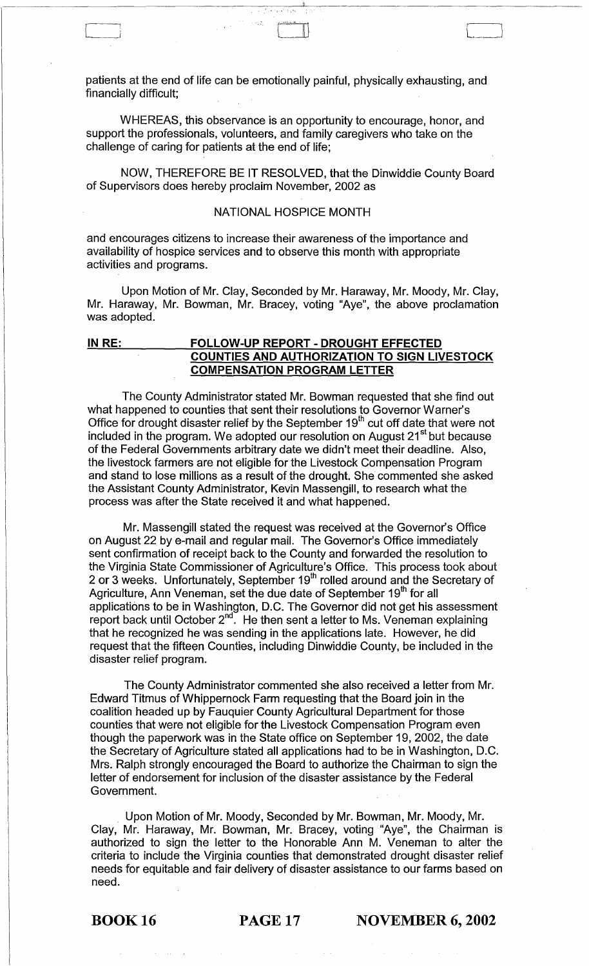patients at the end of life can be emotionally painful, physically exhausting, and financially difficult; .

 $\begin{picture}(120,10) \put(0,0){\line(1,0){155}} \put(15,0){\line(1,0){155}} \put(15,0){\line(1,0){155}} \put(15,0){\line(1,0){155}} \put(15,0){\line(1,0){155}} \put(15,0){\line(1,0){155}} \put(15,0){\line(1,0){155}} \put(15,0){\line(1,0){155}} \put(15,0){\line(1,0){155}} \put(15,0){\line(1,0){155}} \put(15,0){\line(1,0){155}}$ 

WHEREAS, this observance is an opportunity to encourage, honor, and support the professionals, volunteers, and family caregivers who take on the challenge of caring for patients at the end of life;

NOW, THEREFORE BE IT RESOLVED, that the Dinwiddie County Board of Supervisors does hereby proclaim November, 2002 as

# NATIONAL HOSPICE MONTH

and encourages citizens to increase their awareness of the importance and availability of hospice services and to observe this month with appropriate activities and programs.

Upon Motion of Mr. Clay, Seconded by Mr. Haraway, Mr. Moody, Mr. Clay, Mr. Haraway, Mr. Bowman, Mr. Bracey, voting "Aye", the above proclamation was adopted.

# **IN RE: FOLLOW-UP REPORT - DROUGHT EFFECTED COUNTIES AND AUTHORIZATION TO SIGN LIVESTOCK COMPENSATION PROGRAM LETTER**

The County Administrator stated Mr. Bowman requested that she find out what happened to counties that sent their resolutions to Governor Warner's Office for drought disaster relief by the September  $19<sup>th</sup>$  cut off date that were not included in the program. We adopted our resolution on August  $21<sup>st</sup>$  but because of the Federal Governments arbitrary date we didn't meet their deadline. Also, the livestock farmers are not eligible for the Livestock Compensation Program and stand to lose millions as a result of the drought. She commented she asked the Assistant County Administrator, Kevin Massengill, to research what the process was after the State received it and what happened.

Mr. Massengill stated the request was received at the Governor's Office on August 22 by e-mail and regular mail. The Governor's Office immediately sent confirmation of receipt back to the County and forwarded the resolution to the Virginia State Commissioner of Agriculture's Office. This process took about 2 or 3 weeks. Unfortunately, September 19<sup>th</sup> rolled around and the Secretary of Agriculture, Ann Veneman, set the due date of September 19<sup>th</sup> for all applications to be in Washington, D.C. The Governor did not get his assessment report back until October 2<sup>nd</sup>. He then sent a letter to Ms. Veneman explaining that he recognized he was sending in the applications late. However, he did request that the fifteen Counties, including Dinwiddie County, be included in the disaster relief program.

The County Administrator commented she also received a letter from Mr. Edward Titmus of Whippernock Farm requesting that the Board join in the coalition headed up by Fauquier County Agricultural Department for those counties that were not eligible for the Livestock Compensation Program even though the paperwork was in the State office on September 19, 2002, the date the Secretary of Agriculture stated all applications had to be in Washington, D.C. Mrs. Ralph strongly encouraged the Board to authorize the Chairman to sign the letter of endorsement for inclusion of the disaster assistance by the Federal Government.

Upon Motion of Mr. Moody, Seconded by Mr. Bowman, Mr. Moody, Mr. Clay, Mr. Haraway, Mr. Bowman, Mr. Bracey, voting "Aye", the Chairman is authorized to sign the letter to the Honorable Ann M. Veneman to alter the criteria to include the Virginia counties that demonstrated drought disaster relief needs for equitable and fair delivery of disaster assistance to our farms based on need.

BOOK 16 **PAGE 17 NOVEMBER 6, 2002**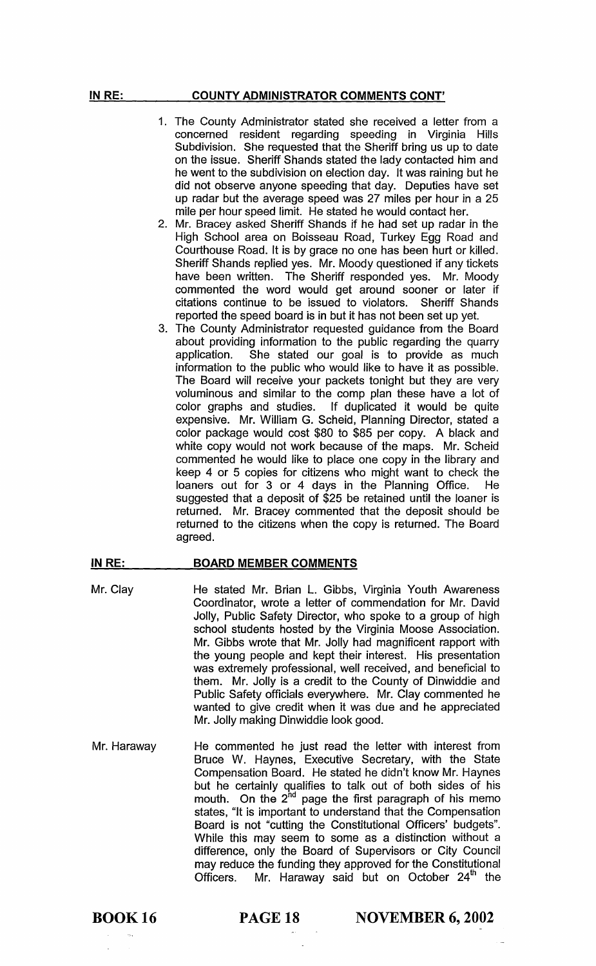# COUNTY ADMINISTRATOR COMMENTS CONT'

- 1. The County Administrator stated she received a letter from a concerned resident regarding speeding in Virginia Hills Subdivision. She requested that the Sheriff bring us up to date on the issue. Sheriff Shands stated the lady contacted him and he went to the subdivision on election day. It was raining but he did not observe anyone speeding that day. Deputies have set up radar but the average speed was 27 miles per hour in a 25 mile per hour speed limit. He stated he would contact her.
- 2. Mr. Bracey asked Sheriff Shands if he had set up radar in the High School area on Boisseau Road, Turkey Egg Road and Courthouse Road. It is by grace no one has been hurt or killed. Sheriff Shands replied yes. Mr. Moody questioned if any tickets have been written. The Sheriff responded yes. Mr. Moody commented the word would get around sooner or later if citations continue to be issued to violators. Sheriff Shands reported the speed board is in but it has not been set up yet.
- 3. The County Administrator requested guidance from the Board about providing information to the public regarding the quarry application. She stated our goal is to provide as much information to the public who would like to have it as possible. The Board will receive your packets tonight but they are very voluminous and similar to the comp plan these have a lot of color graphs and studies. If duplicated it would be quite expensive. Mr. William G. Scheid, Planning Director, stated a color package would cost \$80 to \$85 per copy. A black and white copy would not work because of the maps. Mr. Scheid commented he would like to place one copy in the library and keep 4 or 5 copies for citizens who might want to check the loaners out for 3 or 4 days in the Planning Office. He loaners out for 3 or 4 days in the Planning Office. suggested that a deposit of \$25 be retained until the loaner is returned. Mr. Bracey commented that the deposit should be returned to the citizens when the copy is returned. The Board agreed.

#### IN RE: BOARD MEMBER COMMENTS

- Mr. Clay He stated Mr. Brian L. Gibbs, Virginia Youth Awareness Coordinator, wrote a letter of commendation for Mr. David Jolly, Public Safety Director, who spoke to a group of high school students hosted by the Virginia Moose Association. Mr. Gibbs wrote that Mr. Jolly had magnificent rapport with the young people and kept their interest. His presentation was extremely professional, well received, and beneficial to them. Mr. Jolly is a credit to the County of Dinwiddie and Public Safety officials everywhere. Mr. Clay commented he wanted to give credit when it was due and he appreciated Mr. Jolly making Dinwiddie look good.
- Mr. Haraway He commented he just read the letter with interest from Bruce W. Haynes, Executive Secretary, with the State Compensation Board. He stated he didn't know Mr. Haynes but he certainly qualifies to talk out of both sides of his mouth. On the  $2^{hd}$  page the first paragraph of his memo states, "It is important to understand that the Compensation Board is not "cutting the Constitutional Officers' budgets". While this may seem to some as a distinction without a difference, only the Board of Supervisors or City Council may reduce the funding they approved for the Constitutional Officers. Mr. Haraway said but on October  $24<sup>th</sup>$  the

**PAGE 18** NOVEMBER 6, 2002

IN RE: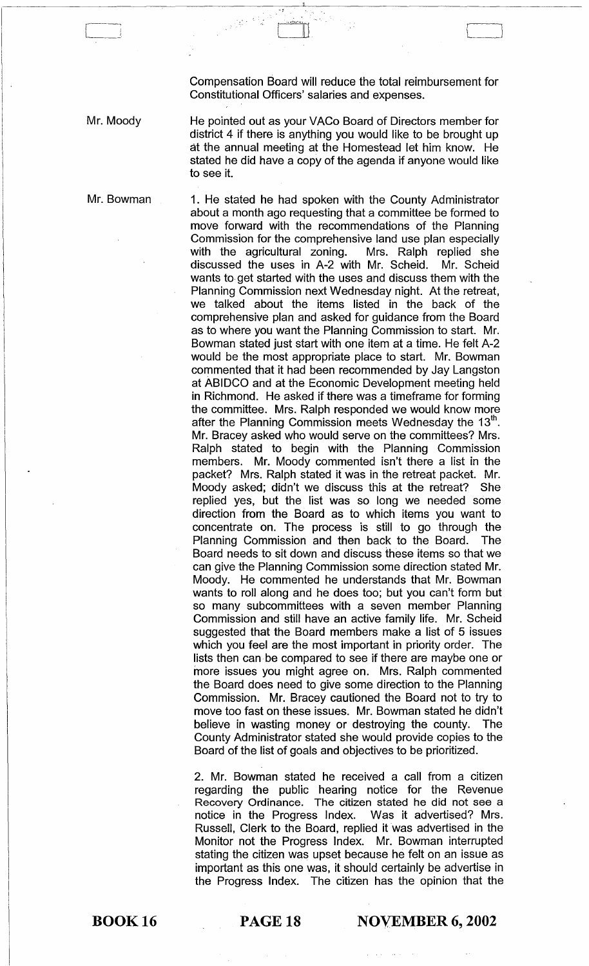Compensation Board will reduce the total reimbursement for Constitutional Officers' salaries and expenses.

 $\begin{picture}(1,1) \put(0,0){\line(1,0){155}} \put(1,0){\line(1,0){155}} \put(1,0){\line(1,0){155}} \put(1,0){\line(1,0){155}} \put(1,0){\line(1,0){155}} \put(1,0){\line(1,0){155}} \put(1,0){\line(1,0){155}} \put(1,0){\line(1,0){155}} \put(1,0){\line(1,0){155}} \put(1,0){\line(1,0){155}} \put(1,0){\line(1,0){155}} \put(1,0){\line(1,0$ 

Mr. Moody

Mr. Bowman

He pointed out as your VACo Board of Directors member for district 4 if there is anything you would like to be brought up at the annual meeting at the Homestead let him know. He stated he did have a copy of the agenda if anyone would like to see it.

1. He stated he had spoken with the County Administrator about a month ago requesting that a committee be formed to move forward with the recommendations of the Planning Commission for the comprehensive land use plan especially<br>with the agricultural zoning. Mrs. Ralph replied she with the agricultural zoning. discussed the uses in A-2 with Mr. Scheid. Mr. Scheid wants to· get started with the uses and discuss them with the Planning Commission next Wednesday night. At the retreat, we talked about the items listed in the back of the comprehensive plan and asked for guidance from the Board as to where you want the Planning Commission to start. Mr. Bowman stated just start with one item at a time. He felt A-2 would be the most appropriate place to start. Mr. Bowman commented that it had been recommended by Jay Langston at ABIDCO and at the Economic Development meeting held in Richmond. He asked if there was a timeframe for forming the committee. Mrs. Ralph responded we would know more after the Planning Commission meets Wednesday the  $13<sup>th</sup>$ . Mr. Bracey asked who would serve on the committees? Mrs. Ralph stated to begin with the Planning Commission members. Mr. Moody commented isn't there a list in the packet? Mrs. Ralph stated it was in the retreat packet. Mr. Moody asked; didn't we discuss this at the retreat? She replied yes, but the list was so long we needed some direction from the Board as to which items you want to concentrate on. The process is still to go through the Planning Commission and then back to the Board. The Board needs to sit down and discuss these items so that we can give the Planning Commission some direction stated Mr. Moody. He commented he understands that Mr. Bowman wants to roll along and he does too; but you can't form but so many subcommittees with a seven member Planning Commission and still have an active family life. Mr. Scheid suggested that the Board members make a list of 5 issues which you feel are the most important in priority order. The lists then can· be compared to see if there are maybe one or more issues you might agree on. Mrs. Ralph commented the Board does need to give some direction to the Planning Commission. Mr. Bracey cautioned the Board not to try to move too fast on these issues. Mr. Bowman stated he didn't believe in wasting money or destroying the county. The County Administrator stated she would provide copies to the Board of the list of goals and objectives to be prioritized.

2. Mr. Bowman stated he received a call from a citizen regarding the public hearing notice for the Revenue Recovery Ordinance. The citizen stated he did not see a notice in the Progress Index. Was it advertised? Mrs. Russell, Clerk to the Board, replied it was advertised in the Monitor not the Progress Index. Mr. Bowman interrupted stating the citizen was upset because he felt on an issue as important as this one was, it should certainly be advertise in the Progress Index. The citizen has the opinion that the

BOOK 16

**PAGE 18 NOVEMBER 6, 2002**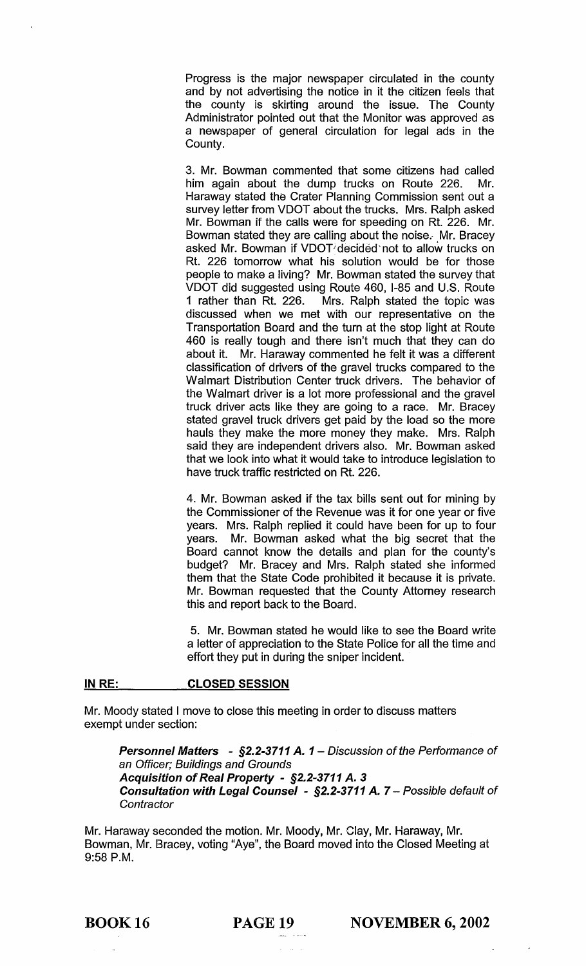Progress is the major newspaper circulated in the county and by not advertising the notice in it the citizen feels that the county is skirting around the issue. The County Administrator pointed out that the Monitor was approved as a newspaper of general circulation for legal ads in the County.

3. Mr. Bowman commented that some citizens had called him again about the dump trucks on Route 226. Mr. Haraway stated the Crater Planning Commission sent out a survey letter from VDOT about the trucks. Mrs. Ralph asked Mr. Bowman if the calls were for speeding on Rt. 226. Mr. Bowman stated they are calling about the noise. Mr. Bracey asked Mr. Bowman if VDOT decided not to allow trucks on Rt. 226 tomorrow what his solution would be for those people to make a living? Mr. Bowman stated the survey that VDOT did suggested using Route 460, 1-85 and U.S. Route Mrs. Ralph stated the topic was discussed when we met with our representative on the Transportation Board and the turn at the stop light at Route 460 is really tough and there isn't much that they can do about it. Mr. Haraway commented he felt it was a different classification of drivers of the gravel trucks compared to the Walmart Distribution Center truck drivers. The behavior of the Walmart driver is a lot more professional and the gravel truck driver acts like they are going to a race. Mr. Bracey stated gravel truck drivers get paid by the load so the more hauls they make the more money they make. Mrs. Ralph said they are independent drivers also. Mr. Bowman asked that we look into what it would take to introduce legislation to have truck traffic restricted on Rt. 226.

4. Mr. Bowman asked if the tax bills sent out for mining by the Commissioner of the Revenue was it for one year or five years. Mrs. Ralph replied it could have been for up to four years. Mr. Bowman asked what the big secret that the Board cannot know the details and plan for the county's budget? Mr. Bracey and Mrs. Ralph stated she informed them that the State Code prohibited it because it is private. Mr. Bowman requested that the County Attorney research this and report back to the Board.

5. Mr. Bowman stated he would like to see the Board write a letter of appreciation to the State Police for all the time and effort they put in during the sniper incident.

#### IN RE: CLOSED SESSION

Mr. Moody stated I move to close this meeting in order to discuss matters exempt under section:

Personnel Matters - §2.2-3711 A. 1 – Discussion of the Performance of an Officer; Buildings and Grounds Acquisition of Real Property - §2.2-3711 A. 3 Consultation with Legal Counsel - §2.2-3711 A. 7 - Possible default of **Contractor** 

Mr. Haraway seconded the motion. Mr. Moody, Mr. Clay, Mr. Haraway, Mr. Bowman, Mr. Bracey, voting "Aye", the Board moved into the Closed Meeting at 9:58 P.M.

BOOK 16 PAGE 19 NOVEMBER 6, 2002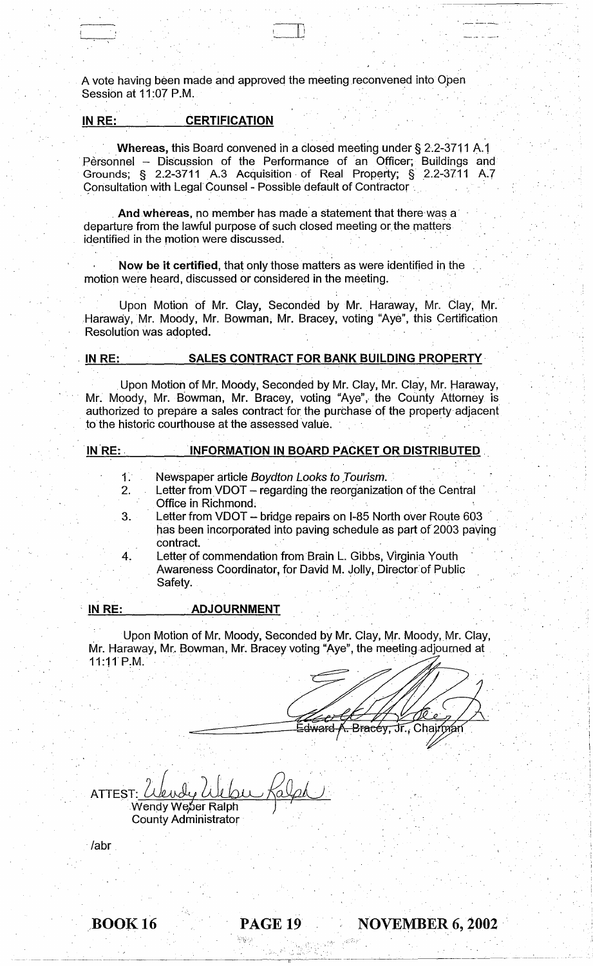A vote having been made and approved the meeting reconvened into Open Session at 11:07 P.M.

 $\Box$ ~.

#### IN RE: CERTIFICATION

. Whereas, this Board convened in a closed meeting under § 2.2-3711 A.1 Personnel - Discussion of the Performance of an Officer; Buildings and Grounds; § 2.2-3711 A.3 Acquisition of Real Property; § 2.2-3711 A.7 Consultation with Legal Counsel - Possible default of Contractor.

And whereas, no member has made a statement that there was a departure from the lawful purpose of such closed meeting or the matters identified in the motion were discussed.

Now be it certified, that only those matters as were identified in the motion were heard, discussed or considered in the meeting.

Upon Motion of Mr. Clay, Seconded by Mr. Haraway, Mr. Clay, Mr. Haraway, Mr. Moody, Mr. Bowman, Mr. Bracey, voting "Aye", this Certification. Resolution was adopted.

 $1.$ 

# IN RE: SALES CONTRACT FOR BANK BUILDING PROPERTY

Upon Motion of Mr. Moody, Seconded by Mr. Clay, Mr. Clay, Mr. Haraway, Mr. Moody, Mr. Bowman, Mr. Bracey, voting "Aye", the County Attorney is authorized to prepare a sales contract 'for the purchase' of the property adjacent to the historic courthouse at the assessed value.

#### 'IN'RE: . . INFORMATION IN BOARD PACKET OR DISTRIBUTED.

- Newspaper article Boydton Looks to Tourism.
- 2. Letter from VDOT - regarding the reorganization of the Central Office in Richmond.
- 3. 4. Letter from VDOT - bridge repairs on I-85 North over Route 603 has been incorporated into paving schedule as part of 2003 paving<br>contract.
	- Letter of commendation from Brain L. Gibbs, Virginia Youth ' Awareness Coordinator, for David M. Jolly, Director"of Public Safety.

#### , IN RE: ADJOURNMENT

Upon Motion of Mr. Moody, Seconded by Mr. Clay, Mr. Moody, Mr. Clay, Mr. Haraway, Mr. Bowman, Mr. Bracey voting "Aye", the meeting adjourned at 11:11'P.M.

> 한복장에 2000 (1990) - 1990 (1990) - 1990 (1990)<br>- 1990 (1990) - 1990 (1990) - 1990 (1990) - 1990 " .  $\mathcal{L} \subset \mathcal{L}$

----~----------------------~--~-------

dward <del>(. Bracéy,</del> Jr., Chairman

ATTEST: ULWY WUO<br>Wendy Weber Ralph Webu Kalph County Administrator .

/abr

BOOK 16 **PAGE 19** NOVEMBER 6, 2002